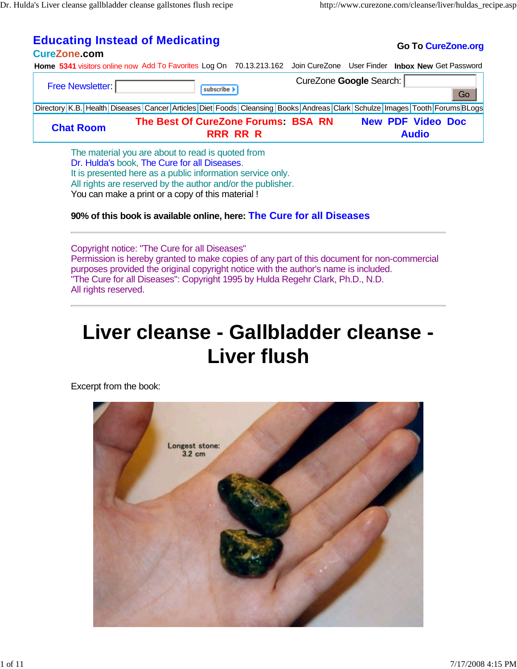#### **Educating Instead of Medicating CureZone.com**

#### **Go To CureZone.org**

|                         | Home 5341 visitors online now Add To Favorites Log On 70.13.213.162 Join CureZone User Finder Inbox New Get Password      |                 |                         |  |                                          |    |
|-------------------------|---------------------------------------------------------------------------------------------------------------------------|-----------------|-------------------------|--|------------------------------------------|----|
| <b>Free Newsletter:</b> | subscribe >                                                                                                               |                 | CureZone Google Search: |  |                                          |    |
|                         |                                                                                                                           |                 |                         |  |                                          | Go |
|                         | Directory K.B. Health Diseases Cancer Articles Diet Foods Cleansing Books Andreas Clark Schulze Images Tooth Forums BLogs |                 |                         |  |                                          |    |
| <b>Chat Room</b>        | The Best Of CureZone Forums: BSA RN                                                                                       | <b>RRR RR R</b> |                         |  | <b>New PDF Video Doc</b><br><b>Audio</b> |    |
|                         |                                                                                                                           |                 |                         |  |                                          |    |
|                         | The material you are about to read is quoted from                                                                         |                 |                         |  |                                          |    |
|                         | Dr. Hulda's book, The Cure for all Diseases.                                                                              |                 |                         |  |                                          |    |
|                         |                                                                                                                           |                 |                         |  |                                          |    |

It is presented here as a public information service only. All rights are reserved by the author and/or the publisher.

You can make a print or a copy of this material !

#### **90% of this book is available online, here: The Cure for all Diseases**

Copyright notice: "The Cure for all Diseases" Permission is hereby granted to make copies of any part of this document for non-commercial purposes provided the original copyright notice with the author's name is included. "The Cure for all Diseases": Copyright 1995 by Hulda Regehr Clark, Ph.D., N.D. All rights reserved.

## **Liver cleanse - Gallbladder cleanse - Liver flush**

Excerpt from the book:

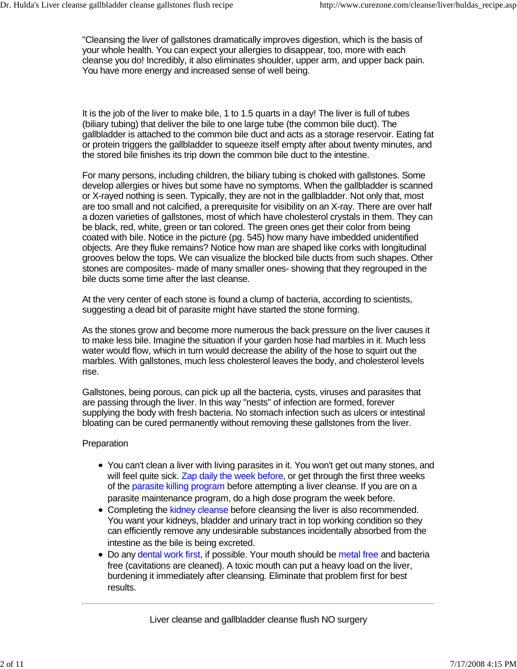"Cleansing the liver of gallstones dramatically improves digestion, which is the basis of your whole health. You can expect your allergies to disappear, too, more with each cleanse you do! Incredibly, it also eliminates shoulder, upper arm, and upper back pain. You have more energy and increased sense of well being.

It is the job of the liver to make bile, 1 to 1.5 quarts in a day! The liver is full of tubes (biliary tubing) that deliver the bile to one large tube (the common bile duct). The gallbladder is attached to the common bile duct and acts as a storage reservoir. Eating fat or protein triggers the gallbladder to squeeze itself empty after about twenty minutes, and the stored bile finishes its trip down the common bile duct to the intestine.

For many persons, including children, the biliary tubing is choked with gallstones. Some develop allergies or hives but some have no symptoms. When the gallbladder is scanned or X-rayed nothing is seen. Typically, they are not in the gallbladder. Not only that, most are too small and not calcified, a prerequisite for visibility on an X-ray. There are over half a dozen varieties of gallstones, most of which have cholesterol crystals in them. They can be black, red, white, green or tan colored. The green ones get their color from being coated with bile. Notice in the picture (pg. 545) how many have imbedded unidentified objects. Are they fluke remains? Notice how man are shaped like corks with longitudinal grooves below the tops. We can visualize the blocked bile ducts from such shapes. Other stones are composites- made of many smaller ones- showing that they regrouped in the bile ducts some time after the last cleanse.

At the very center of each stone is found a clump of bacteria, according to scientists, suggesting a dead bit of parasite might have started the stone forming.

As the stones grow and become more numerous the back pressure on the liver causes it to make less bile. Imagine the situation if your garden hose had marbles in it. Much less water would flow, which in turn would decrease the ability of the hose to squirt out the marbles. With gallstones, much less cholesterol leaves the body, and cholesterol levels rise.

Gallstones, being porous, can pick up all the bacteria, cysts, viruses and parasites that are passing through the liver. In this way "nests" of infection are formed, forever supplying the body with fresh bacteria. No stomach infection such as ulcers or intestinal bloating can be cured permanently without removing these gallstones from the liver.

#### **Preparation**

- You can't clean a liver with living parasites in it. You won't get out many stones, and will feel quite sick. Zap daily the week before, or get through the first three weeks of the parasite killing program before attempting a liver cleanse. If you are on a parasite maintenance program, do a high dose program the week before.
- Completing the kidney cleanse before cleansing the liver is also recommended. You want your kidneys, bladder and urinary tract in top working condition so they can efficiently remove any undesirable substances incidentally absorbed from the intestine as the bile is being excreted.
- Do any dental work first, if possible. Your mouth should be metal free and bacteria free (cavitations are cleaned). A toxic mouth can put a heavy load on the liver, burdening it immediately after cleansing. Eliminate that problem first for best results.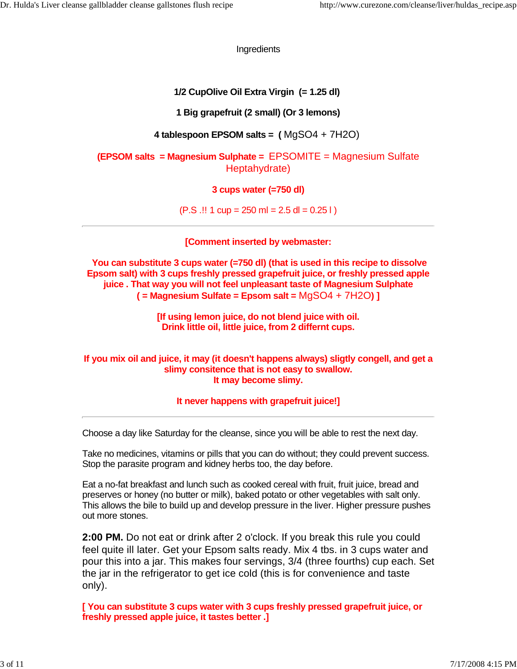Ingredients

#### **1/2 CupOlive Oil Extra Virgin (= 1.25 dl)**

#### **1 Big grapefruit (2 small) (Or 3 lemons)**

#### **4 tablespoon EPSOM salts = (** MgSO4 + 7H2O)

**(EPSOM salts = Magnesium Sulphate =** EPSOMITE = Magnesium Sulfate Heptahydrate)

**3 cups water (=750 dl)**

 $(P.S.!! 1 cup = 250 ml = 2.5 dl = 0.25 l)$ 

**[Comment inserted by webmaster:**

**You can substitute 3 cups water (=750 dl) (that is used in this recipe to dissolve Epsom salt) with 3 cups freshly pressed grapefruit juice, or freshly pressed apple juice . That way you will not feel unpleasant taste of Magnesium Sulphate ( = Magnesium Sulfate = Epsom salt =** MgSO4 + 7H2O**) ]** 

> **[If using lemon juice, do not blend juice with oil. Drink little oil, little juice, from 2 differnt cups.**

#### **If you mix oil and juice, it may (it doesn't happens always) sligtly congell, and get a slimy consitence that is not easy to swallow. It may become slimy.**

#### **It never happens with grapefruit juice!]**

Choose a day like Saturday for the cleanse, since you will be able to rest the next day.

Take no medicines, vitamins or pills that you can do without; they could prevent success. Stop the parasite program and kidney herbs too, the day before.

Eat a no-fat breakfast and lunch such as cooked cereal with fruit, fruit juice, bread and preserves or honey (no butter or milk), baked potato or other vegetables with salt only. This allows the bile to build up and develop pressure in the liver. Higher pressure pushes out more stones.

**2:00 PM.** Do not eat or drink after 2 o'clock. If you break this rule you could feel quite ill later. Get your Epsom salts ready. Mix 4 tbs. in 3 cups water and pour this into a jar. This makes four servings, 3/4 (three fourths) cup each. Set the jar in the refrigerator to get ice cold (this is for convenience and taste only).

**[ You can substitute 3 cups water with 3 cups freshly pressed grapefruit juice, or freshly pressed apple juice, it tastes better .]**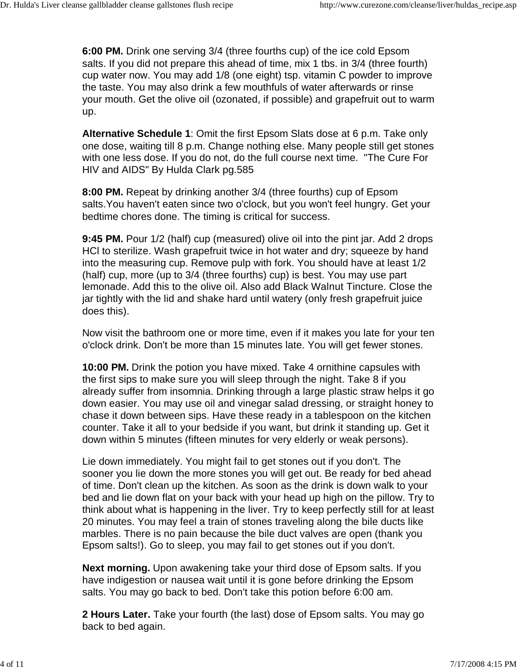**6:00 PM.** Drink one serving 3/4 (three fourths cup) of the ice cold Epsom salts. If you did not prepare this ahead of time, mix 1 tbs. in 3/4 (three fourth) cup water now. You may add 1/8 (one eight) tsp. vitamin C powder to improve the taste. You may also drink a few mouthfuls of water afterwards or rinse your mouth. Get the olive oil (ozonated, if possible) and grapefruit out to warm up.

**Alternative Schedule 1**: Omit the first Epsom Slats dose at 6 p.m. Take only one dose, waiting till 8 p.m. Change nothing else. Many people still get stones with one less dose. If you do not, do the full course next time. "The Cure For HIV and AIDS" By Hulda Clark pg.585

**8:00 PM.** Repeat by drinking another 3/4 (three fourths) cup of Epsom salts.You haven't eaten since two o'clock, but you won't feel hungry. Get your bedtime chores done. The timing is critical for success.

**9:45 PM.** Pour 1/2 (half) cup (measured) olive oil into the pint jar. Add 2 drops HCl to sterilize. Wash grapefruit twice in hot water and dry; squeeze by hand into the measuring cup. Remove pulp with fork. You should have at least 1/2 (half) cup, more (up to 3/4 (three fourths) cup) is best. You may use part lemonade. Add this to the olive oil. Also add Black Walnut Tincture. Close the jar tightly with the lid and shake hard until watery (only fresh grapefruit juice does this).

Now visit the bathroom one or more time, even if it makes you late for your ten o'clock drink. Don't be more than 15 minutes late. You will get fewer stones.

**10:00 PM.** Drink the potion you have mixed. Take 4 ornithine capsules with the first sips to make sure you will sleep through the night. Take 8 if you already suffer from insomnia. Drinking through a large plastic straw helps it go down easier. You may use oil and vinegar salad dressing, or straight honey to chase it down between sips. Have these ready in a tablespoon on the kitchen counter. Take it all to your bedside if you want, but drink it standing up. Get it down within 5 minutes (fifteen minutes for very elderly or weak persons).

Lie down immediately. You might fail to get stones out if you don't. The sooner you lie down the more stones you will get out. Be ready for bed ahead of time. Don't clean up the kitchen. As soon as the drink is down walk to your bed and lie down flat on your back with your head up high on the pillow. Try to think about what is happening in the liver. Try to keep perfectly still for at least 20 minutes. You may feel a train of stones traveling along the bile ducts like marbles. There is no pain because the bile duct valves are open (thank you Epsom salts!). Go to sleep, you may fail to get stones out if you don't.

**Next morning.** Upon awakening take your third dose of Epsom salts. If you have indigestion or nausea wait until it is gone before drinking the Epsom salts. You may go back to bed. Don't take this potion before 6:00 am.

**2 Hours Later.** Take your fourth (the last) dose of Epsom salts. You may go back to bed again.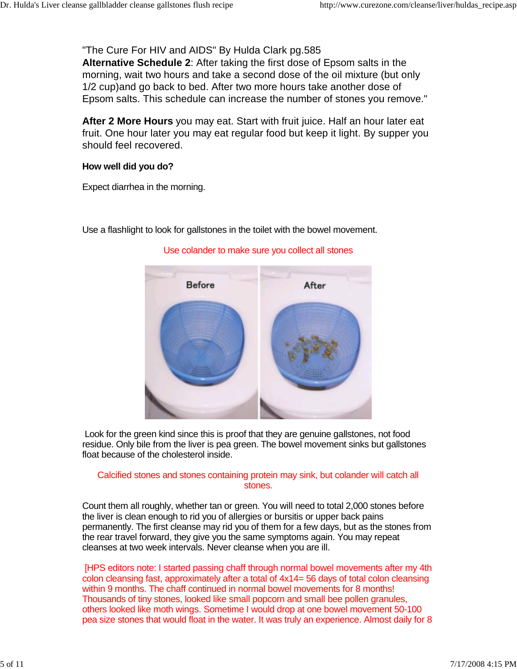"The Cure For HIV and AIDS" By Hulda Clark pg.585

**Alternative Schedule 2**: After taking the first dose of Epsom salts in the morning, wait two hours and take a second dose of the oil mixture (but only 1/2 cup)and go back to bed. After two more hours take another dose of Epsom salts. This schedule can increase the number of stones you remove."

**After 2 More Hours** you may eat. Start with fruit juice. Half an hour later eat fruit. One hour later you may eat regular food but keep it light. By supper you should feel recovered.

#### **How well did you do?**

Expect diarrhea in the morning.

Use a flashlight to look for gallstones in the toilet with the bowel movement.

#### Use colander to make sure you collect all stones



Look for the green kind since this is proof that they are genuine gallstones, not food residue. Only bile from the liver is pea green. The bowel movement sinks but gallstones float because of the cholesterol inside.

#### Calcified stones and stones containing protein may sink, but colander will catch all stones.

Count them all roughly, whether tan or green. You will need to total 2,000 stones before the liver is clean enough to rid you of allergies or bursitis or upper back pains permanently. The first cleanse may rid you of them for a few days, but as the stones from the rear travel forward, they give you the same symptoms again. You may repeat cleanses at two week intervals. Never cleanse when you are ill.

[HPS editors note: I started passing chaff through normal bowel movements after my 4th colon cleansing fast, approximately after a total of 4x14= 56 days of total colon cleansing within 9 months. The chaff continued in normal bowel movements for 8 months! Thousands of tiny stones, looked like small popcorn and small bee pollen granules, others looked like moth wings. Sometime I would drop at one bowel movement 50-100 pea size stones that would float in the water. It was truly an experience. Almost daily for 8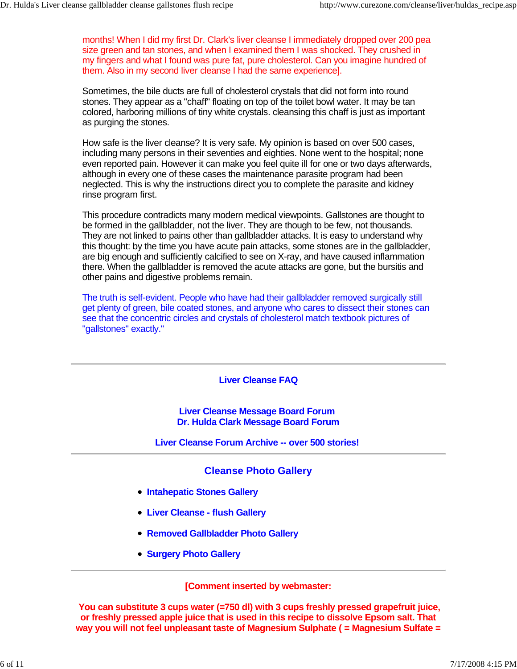months! When I did my first Dr. Clark's liver cleanse I immediately dropped over 200 pea size green and tan stones, and when I examined them I was shocked. They crushed in my fingers and what I found was pure fat, pure cholesterol. Can you imagine hundred of them. Also in my second liver cleanse I had the same experience].

Sometimes, the bile ducts are full of cholesterol crystals that did not form into round stones. They appear as a "chaff" floating on top of the toilet bowl water. It may be tan colored, harboring millions of tiny white crystals. cleansing this chaff is just as important as purging the stones.

How safe is the liver cleanse? It is very safe. My opinion is based on over 500 cases, including many persons in their seventies and eighties. None went to the hospital; none even reported pain. However it can make you feel quite ill for one or two days afterwards, although in every one of these cases the maintenance parasite program had been neglected. This is why the instructions direct you to complete the parasite and kidney rinse program first.

This procedure contradicts many modern medical viewpoints. Gallstones are thought to be formed in the gallbladder, not the liver. They are though to be few, not thousands. They are not linked to pains other than gallbladder attacks. It is easy to understand why this thought: by the time you have acute pain attacks, some stones are in the gallbladder, are big enough and sufficiently calcified to see on X-ray, and have caused inflammation there. When the gallbladder is removed the acute attacks are gone, but the bursitis and other pains and digestive problems remain.

The truth is self-evident. People who have had their gallbladder removed surgically still get plenty of green, bile coated stones, and anyone who cares to dissect their stones can see that the concentric circles and crystals of cholesterol match textbook pictures of "gallstones" exactly."

#### **Liver Cleanse FAQ**

**Liver Cleanse Message Board Forum Dr. Hulda Clark Message Board Forum**

**Liver Cleanse Forum Archive -- over 500 stories!** 

#### **Cleanse Photo Gallery**

- **Intahepatic Stones Gallery**
- **Liver Cleanse flush Gallery**
- **Removed Gallbladder Photo Gallery**
- **Surgery Photo Gallery**

#### **[Comment inserted by webmaster:**

**You can substitute 3 cups water (=750 dl) with 3 cups freshly pressed grapefruit juice, or freshly pressed apple juice that is used in this recipe to dissolve Epsom salt. That way you will not feel unpleasant taste of Magnesium Sulphate ( = Magnesium Sulfate =**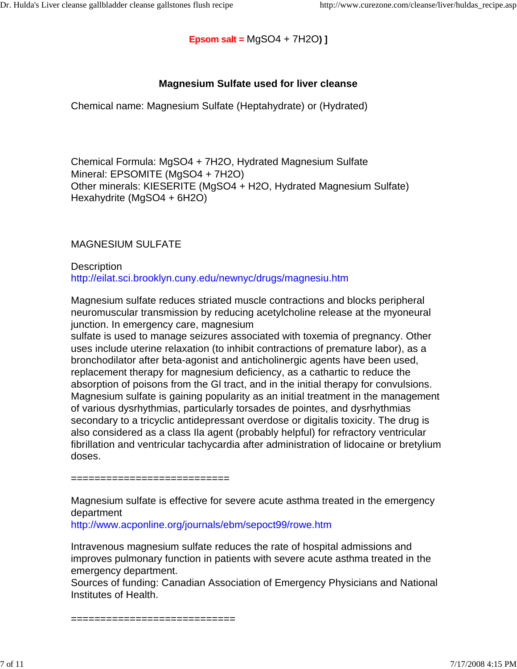**Epsom salt =** MgSO4 + 7H2O**) ]**

### **Magnesium Sulfate used for liver cleanse**

Chemical name: Magnesium Sulfate (Heptahydrate) or (Hydrated)

Chemical Formula: MgSO4 + 7H2O, Hydrated Magnesium Sulfate Mineral: EPSOMITE (MgSO4 + 7H2O) Other minerals: KIESERITE (MgSO4 + H2O, Hydrated Magnesium Sulfate) Hexahydrite (MgSO4 + 6H2O)

MAGNESIUM SULFATE

**Description** http://eilat.sci.brooklyn.cuny.edu/newnyc/drugs/magnesiu.htm

Magnesium sulfate reduces striated muscle contractions and blocks peripheral neuromuscular transmission by reducing acetylcholine release at the myoneural junction. In emergency care, magnesium

sulfate is used to manage seizures associated with toxemia of pregnancy. Other uses include uterine relaxation (to inhibit contractions of premature labor), as a bronchodilator after beta-agonist and anticholinergic agents have been used, replacement therapy for magnesium deficiency, as a cathartic to reduce the absorption of poisons from the Gl tract, and in the initial therapy for convulsions. Magnesium sulfate is gaining popularity as an initial treatment in the management of various dysrhythmias, particularly torsades de pointes, and dysrhythmias secondary to a tricyclic antidepressant overdose or digitalis toxicity. The drug is also considered as a class Ila agent (probably helpful) for refractory ventricular fibrillation and ventricular tachycardia after administration of lidocaine or bretylium doses.

==========================

Magnesium sulfate is effective for severe acute asthma treated in the emergency department

http://www.acponline.org/journals/ebm/sepoct99/rowe.htm

Intravenous magnesium sulfate reduces the rate of hospital admissions and improves pulmonary function in patients with severe acute asthma treated in the emergency department.

Sources of funding: Canadian Association of Emergency Physicians and National Institutes of Health.

===========================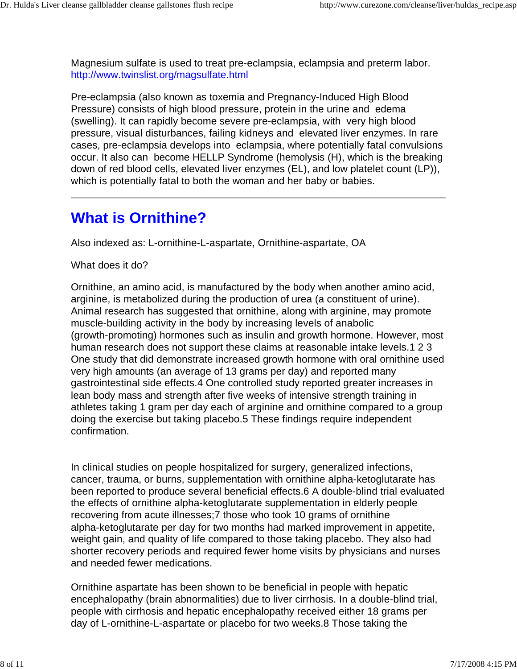Magnesium sulfate is used to treat pre-eclampsia, eclampsia and preterm labor. http://www.twinslist.org/magsulfate.html

Pre-eclampsia (also known as toxemia and Pregnancy-Induced High Blood Pressure) consists of high blood pressure, protein in the urine and edema (swelling). It can rapidly become severe pre-eclampsia, with very high blood pressure, visual disturbances, failing kidneys and elevated liver enzymes. In rare cases, pre-eclampsia develops into eclampsia, where potentially fatal convulsions occur. It also can become HELLP Syndrome (hemolysis (H), which is the breaking down of red blood cells, elevated liver enzymes (EL), and low platelet count (LP)), which is potentially fatal to both the woman and her baby or babies.

### **What is Ornithine?**

Also indexed as: L-ornithine-L-aspartate, Ornithine-aspartate, OA

What does it do?

Ornithine, an amino acid, is manufactured by the body when another amino acid, arginine, is metabolized during the production of urea (a constituent of urine). Animal research has suggested that ornithine, along with arginine, may promote muscle-building activity in the body by increasing levels of anabolic (growth-promoting) hormones such as insulin and growth hormone. However, most human research does not support these claims at reasonable intake levels.1 2 3 One study that did demonstrate increased growth hormone with oral ornithine used very high amounts (an average of 13 grams per day) and reported many gastrointestinal side effects.4 One controlled study reported greater increases in lean body mass and strength after five weeks of intensive strength training in athletes taking 1 gram per day each of arginine and ornithine compared to a group doing the exercise but taking placebo.5 These findings require independent confirmation.

In clinical studies on people hospitalized for surgery, generalized infections, cancer, trauma, or burns, supplementation with ornithine alpha-ketoglutarate has been reported to produce several beneficial effects.6 A double-blind trial evaluated the effects of ornithine alpha-ketoglutarate supplementation in elderly people recovering from acute illnesses;7 those who took 10 grams of ornithine alpha-ketoglutarate per day for two months had marked improvement in appetite, weight gain, and quality of life compared to those taking placebo. They also had shorter recovery periods and required fewer home visits by physicians and nurses and needed fewer medications.

Ornithine aspartate has been shown to be beneficial in people with hepatic encephalopathy (brain abnormalities) due to liver cirrhosis. In a double-blind trial, people with cirrhosis and hepatic encephalopathy received either 18 grams per day of L-ornithine-L-aspartate or placebo for two weeks.8 Those taking the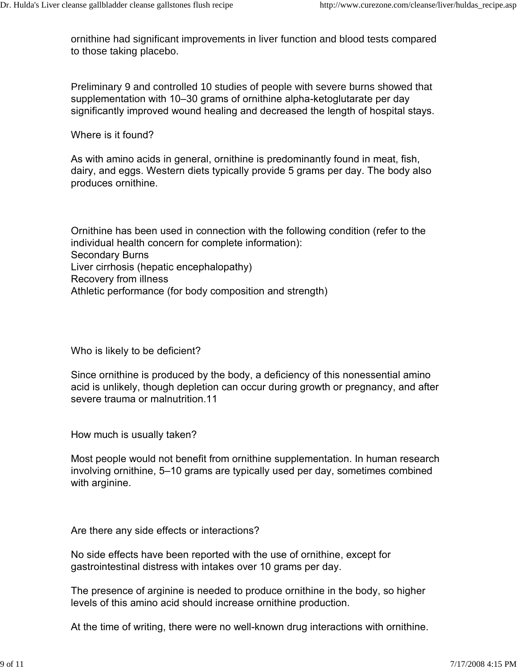ornithine had significant improvements in liver function and blood tests compared to those taking placebo.

Preliminary 9 and controlled 10 studies of people with severe burns showed that supplementation with 10–30 grams of ornithine alpha-ketoglutarate per day significantly improved wound healing and decreased the length of hospital stays.

Where is it found?

As with amino acids in general, ornithine is predominantly found in meat, fish, dairy, and eggs. Western diets typically provide 5 grams per day. The body also produces ornithine.

Ornithine has been used in connection with the following condition (refer to the individual health concern for complete information): Secondary Burns Liver cirrhosis (hepatic encephalopathy) Recovery from illness Athletic performance (for body composition and strength)

Who is likely to be deficient?

Since ornithine is produced by the body, a deficiency of this nonessential amino acid is unlikely, though depletion can occur during growth or pregnancy, and after severe trauma or malnutrition.11

How much is usually taken?

Most people would not benefit from ornithine supplementation. In human research involving ornithine, 5–10 grams are typically used per day, sometimes combined with arginine.

Are there any side effects or interactions?

No side effects have been reported with the use of ornithine, except for gastrointestinal distress with intakes over 10 grams per day.

The presence of arginine is needed to produce ornithine in the body, so higher levels of this amino acid should increase ornithine production.

At the time of writing, there were no well-known drug interactions with ornithine.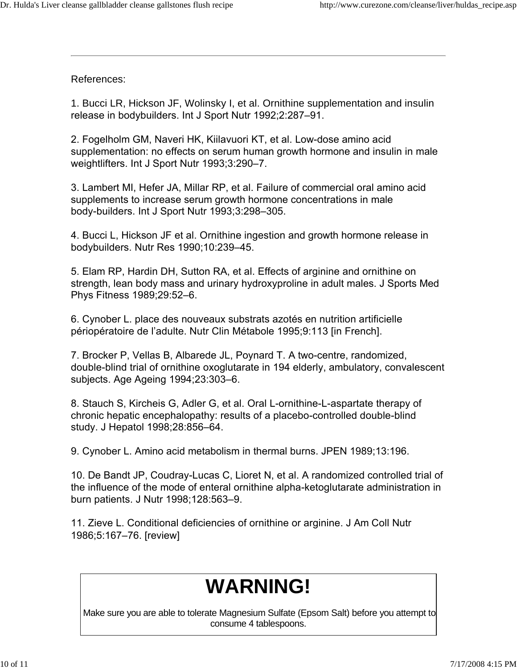References:

1. Bucci LR, Hickson JF, Wolinsky I, et al. Ornithine supplementation and insulin release in bodybuilders. Int J Sport Nutr 1992;2:287–91.

2. Fogelholm GM, Naveri HK, Kiilavuori KT, et al. Low-dose amino acid supplementation: no effects on serum human growth hormone and insulin in male weightlifters. Int J Sport Nutr 1993;3:290–7.

3. Lambert MI, Hefer JA, Millar RP, et al. Failure of commercial oral amino acid supplements to increase serum growth hormone concentrations in male body-builders. Int J Sport Nutr 1993;3:298–305.

4. Bucci L, Hickson JF et al. Ornithine ingestion and growth hormone release in bodybuilders. Nutr Res 1990;10:239–45.

5. Elam RP, Hardin DH, Sutton RA, et al. Effects of arginine and ornithine on strength, lean body mass and urinary hydroxyproline in adult males. J Sports Med Phys Fitness 1989;29:52–6.

6. Cynober L. place des nouveaux substrats azotés en nutrition artificielle périopératoire de l'adulte. Nutr Clin Métabole 1995;9:113 [in French].

7. Brocker P, Vellas B, Albarede JL, Poynard T. A two-centre, randomized, double-blind trial of ornithine oxoglutarate in 194 elderly, ambulatory, convalescent subjects. Age Ageing 1994;23:303–6.

8. Stauch S, Kircheis G, Adler G, et al. Oral L-ornithine-L-aspartate therapy of chronic hepatic encephalopathy: results of a placebo-controlled double-blind study. J Hepatol 1998;28:856–64.

9. Cynober L. Amino acid metabolism in thermal burns. JPEN 1989;13:196.

10. De Bandt JP, Coudray-Lucas C, Lioret N, et al. A randomized controlled trial of the influence of the mode of enteral ornithine alpha-ketoglutarate administration in burn patients. J Nutr 1998;128:563–9.

11. Zieve L. Conditional deficiencies of ornithine or arginine. J Am Coll Nutr 1986;5:167–76. [review]

# **WARNING!**

Make sure you are able to tolerate Magnesium Sulfate (Epsom Salt) before you attempt to consume 4 tablespoons.